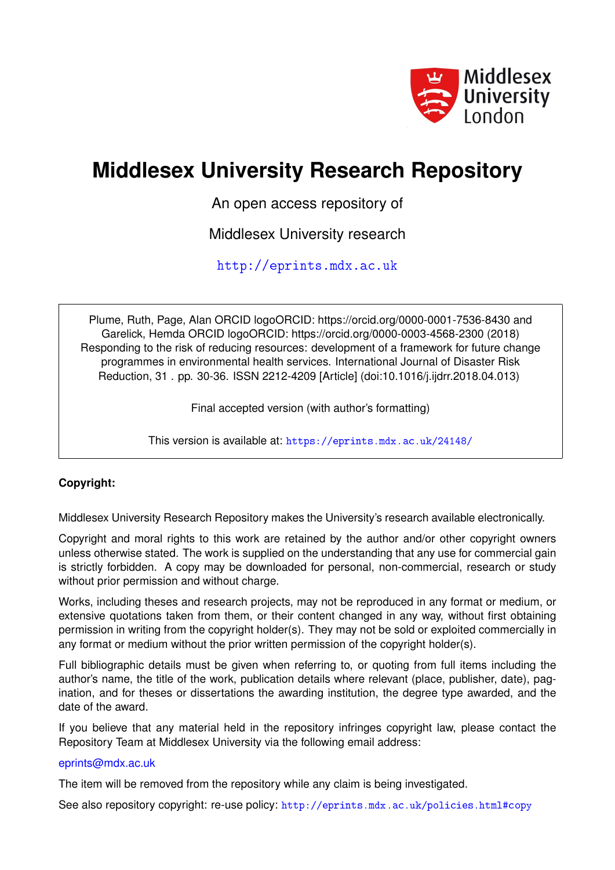

# **Middlesex University Research Repository**

An open access repository of

Middlesex University research

<http://eprints.mdx.ac.uk>

Plume, Ruth, Page, Alan ORCID logoORCID: https://orcid.org/0000-0001-7536-8430 and Garelick, Hemda ORCID logoORCID: https://orcid.org/0000-0003-4568-2300 (2018) Responding to the risk of reducing resources: development of a framework for future change programmes in environmental health services. International Journal of Disaster Risk Reduction, 31 . pp. 30-36. ISSN 2212-4209 [Article] (doi:10.1016/j.ijdrr.2018.04.013)

Final accepted version (with author's formatting)

This version is available at: <https://eprints.mdx.ac.uk/24148/>

# **Copyright:**

Middlesex University Research Repository makes the University's research available electronically.

Copyright and moral rights to this work are retained by the author and/or other copyright owners unless otherwise stated. The work is supplied on the understanding that any use for commercial gain is strictly forbidden. A copy may be downloaded for personal, non-commercial, research or study without prior permission and without charge.

Works, including theses and research projects, may not be reproduced in any format or medium, or extensive quotations taken from them, or their content changed in any way, without first obtaining permission in writing from the copyright holder(s). They may not be sold or exploited commercially in any format or medium without the prior written permission of the copyright holder(s).

Full bibliographic details must be given when referring to, or quoting from full items including the author's name, the title of the work, publication details where relevant (place, publisher, date), pagination, and for theses or dissertations the awarding institution, the degree type awarded, and the date of the award.

If you believe that any material held in the repository infringes copyright law, please contact the Repository Team at Middlesex University via the following email address:

#### [eprints@mdx.ac.uk](mailto:eprints@mdx.ac.uk)

The item will be removed from the repository while any claim is being investigated.

See also repository copyright: re-use policy: <http://eprints.mdx.ac.uk/policies.html#copy>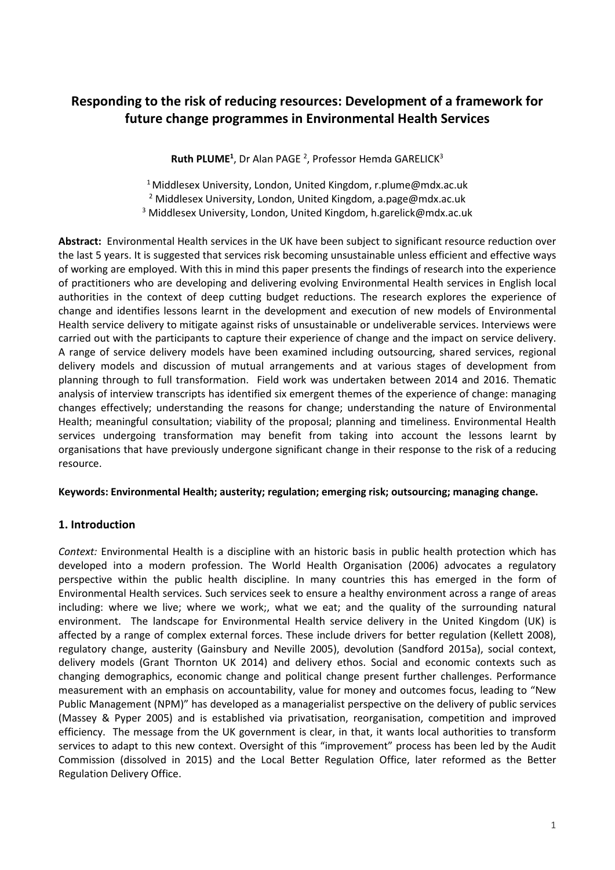# **Responding to the risk of reducing resources: Development of a framework for future change programmes in Environmental Health Services**

**Ruth PLUME<sup>1</sup>**, Dr Alan PAGE <sup>2</sup>, Professor Hemda GARELICK<sup>3</sup>

1 Middlesex University, London, United Kingdom, r.plume@mdx.ac.uk <sup>2</sup> Middlesex University, London, United Kingdom, a.page@mdx.ac.uk <sup>3</sup> Middlesex University, London, United Kingdom, h.garelick@mdx.ac.uk

**Abstract:** Environmental Health services in the UK have been subject to significant resource reduction over the last 5 years. It is suggested that services risk becoming unsustainable unless efficient and effective ways of working are employed. With this in mind this paper presents the findings of research into the experience of practitioners who are developing and delivering evolving Environmental Health services in English local authorities in the context of deep cutting budget reductions. The research explores the experience of change and identifies lessons learnt in the development and execution of new models of Environmental Health service delivery to mitigate against risks of unsustainable or undeliverable services. Interviews were carried out with the participants to capture their experience of change and the impact on service delivery. A range of service delivery models have been examined including outsourcing, shared services, regional delivery models and discussion of mutual arrangements and at various stages of development from planning through to full transformation. Field work was undertaken between 2014 and 2016. Thematic analysis of interview transcripts has identified six emergent themes of the experience of change: managing changes effectively; understanding the reasons for change; understanding the nature of Environmental Health; meaningful consultation; viability of the proposal; planning and timeliness. Environmental Health services undergoing transformation may benefit from taking into account the lessons learnt by organisations that have previously undergone significant change in their response to the risk of a reducing resource.

#### **Keywords: Environmental Health; austerity; regulation; emerging risk; outsourcing; managing change.**

## **1. Introduction**

*Context:* Environmental Health is a discipline with an historic basis in public health protection which has developed into a modern profession. The World Health Organisation (2006) advocates a regulatory perspective within the public health discipline. In many countries this has emerged in the form of Environmental Health services. Such services seek to ensure a healthy environment across a range of areas including: where we live; where we work;, what we eat; and the quality of the surrounding natural environment. The landscape for Environmental Health service delivery in the United Kingdom (UK) is affected by a range of complex external forces. These include drivers for better regulation (Kellett 2008), regulatory change, austerity (Gainsbury and Neville 2005), devolution (Sandford 2015a), social context, delivery models (Grant Thornton UK 2014) and delivery ethos. Social and economic contexts such as changing demographics, economic change and political change present further challenges. Performance measurement with an emphasis on accountability, value for money and outcomes focus, leading to "New Public Management (NPM)" has developed as a managerialist perspective on the delivery of public services (Massey & Pyper 2005) and is established via privatisation, reorganisation, competition and improved efficiency. The message from the UK government is clear, in that, it wants local authorities to transform services to adapt to this new context. Oversight of this "improvement" process has been led by the Audit Commission (dissolved in 2015) and the Local Better Regulation Office, later reformed as the Better Regulation Delivery Office.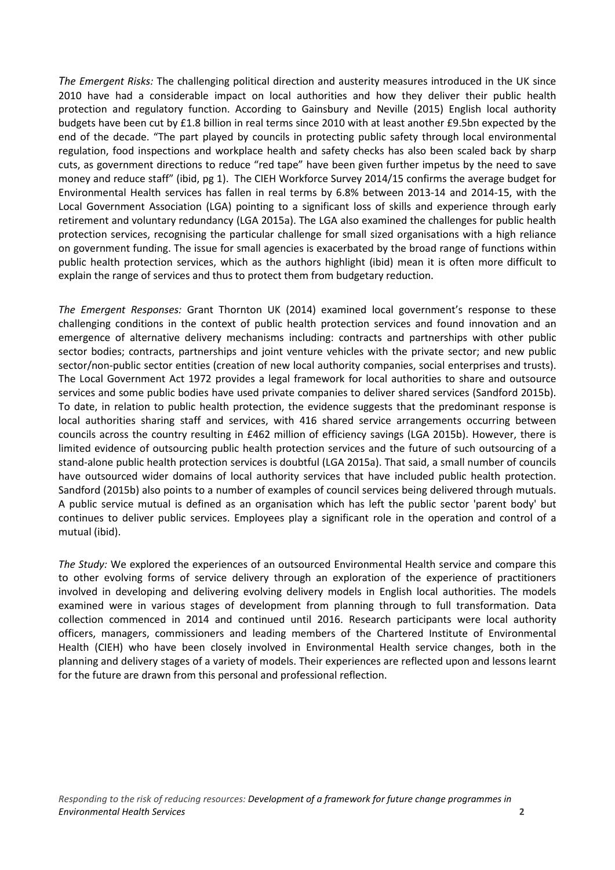*The Emergent Risks:* The challenging political direction and austerity measures introduced in the UK since 2010 have had a considerable impact on local authorities and how they deliver their public health protection and regulatory function. According to Gainsbury and Neville (2015) English local authority budgets have been cut by £1.8 billion in real terms since 2010 with at least another £9.5bn expected by the end of the decade. "The part played by councils in protecting public safety through local environmental regulation, food inspections and workplace health and safety checks has also been scaled back by sharp cuts, as government directions to reduce "red tape" have been given further impetus by the need to save money and reduce staff" (ibid, pg 1). The CIEH Workforce Survey 2014/15 confirms the average budget for Environmental Health services has fallen in real terms by 6.8% between 2013-14 and 2014-15, with the Local Government Association (LGA) pointing to a significant loss of skills and experience through early retirement and voluntary redundancy (LGA 2015a). The LGA also examined the challenges for public health protection services, recognising the particular challenge for small sized organisations with a high reliance on government funding. The issue for small agencies is exacerbated by the broad range of functions within public health protection services, which as the authors highlight (ibid) mean it is often more difficult to explain the range of services and thus to protect them from budgetary reduction.

*The Emergent Responses:* Grant Thornton UK (2014) examined local government's response to these challenging conditions in the context of public health protection services and found innovation and an emergence of alternative delivery mechanisms including: contracts and partnerships with other public sector bodies; contracts, partnerships and joint venture vehicles with the private sector; and new public sector/non-public sector entities (creation of new local authority companies, social enterprises and trusts). The Local Government Act 1972 provides a legal framework for local authorities to share and outsource services and some public bodies have used private companies to deliver shared services (Sandford 2015b). To date, in relation to public health protection, the evidence suggests that the predominant response is local authorities sharing staff and services, with 416 shared service arrangements occurring between councils across the country resulting in £462 million of efficiency savings (LGA 2015b). However, there is limited evidence of outsourcing public health protection services and the future of such outsourcing of a stand-alone public health protection services is doubtful (LGA 2015a). That said, a small number of councils have outsourced wider domains of local authority services that have included public health protection. Sandford (2015b) also points to a number of examples of council services being delivered through mutuals. A public service mutual is defined as an organisation which has left the public sector 'parent body' but continues to deliver public services. Employees play a significant role in the operation and control of a mutual (ibid).

*The Study:* We explored the experiences of an outsourced Environmental Health service and compare this to other evolving forms of service delivery through an exploration of the experience of practitioners involved in developing and delivering evolving delivery models in English local authorities. The models examined were in various stages of development from planning through to full transformation. Data collection commenced in 2014 and continued until 2016. Research participants were local authority officers, managers, commissioners and leading members of the Chartered Institute of Environmental Health (CIEH) who have been closely involved in Environmental Health service changes, both in the planning and delivery stages of a variety of models. Their experiences are reflected upon and lessons learnt for the future are drawn from this personal and professional reflection.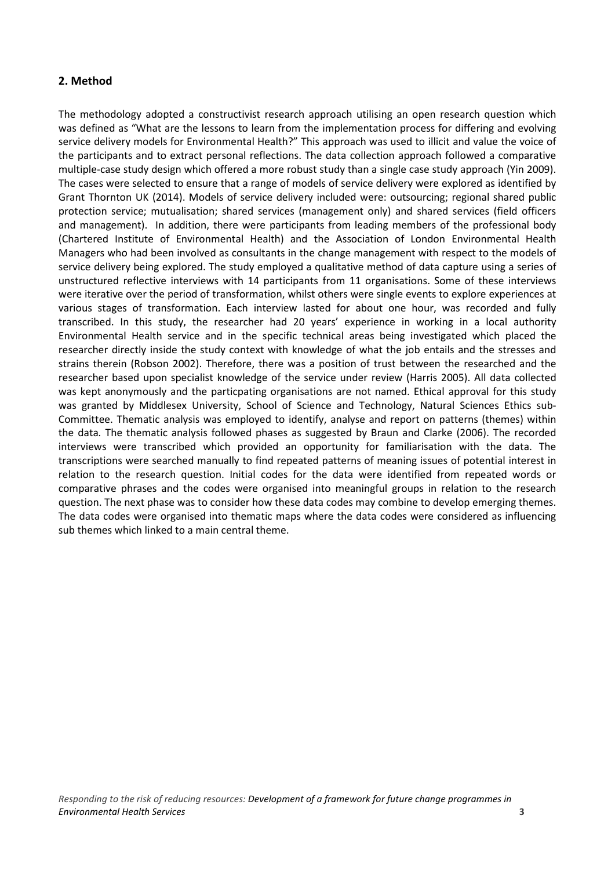#### **2. Method**

The methodology adopted a constructivist research approach utilising an open research question which was defined as "What are the lessons to learn from the implementation process for differing and evolving service delivery models for Environmental Health?" This approach was used to illicit and value the voice of the participants and to extract personal reflections. The data collection approach followed a comparative multiple-case study design which offered a more robust study than a single case study approach (Yin 2009). The cases were selected to ensure that a range of models of service delivery were explored as identified by Grant Thornton UK (2014). Models of service delivery included were: outsourcing; regional shared public protection service; mutualisation; shared services (management only) and shared services (field officers and management). In addition, there were participants from leading members of the professional body (Chartered Institute of Environmental Health) and the Association of London Environmental Health Managers who had been involved as consultants in the change management with respect to the models of service delivery being explored. The study employed a qualitative method of data capture using a series of unstructured reflective interviews with 14 participants from 11 organisations. Some of these interviews were iterative over the period of transformation, whilst others were single events to explore experiences at various stages of transformation. Each interview lasted for about one hour, was recorded and fully transcribed. In this study, the researcher had 20 years' experience in working in a local authority Environmental Health service and in the specific technical areas being investigated which placed the researcher directly inside the study context with knowledge of what the job entails and the stresses and strains therein (Robson 2002). Therefore, there was a position of trust between the researched and the researcher based upon specialist knowledge of the service under review (Harris 2005). All data collected was kept anonymously and the particpating organisations are not named. Ethical approval for this study was granted by Middlesex University, School of Science and Technology, Natural Sciences Ethics sub-Committee. Thematic analysis was employed to identify, analyse and report on patterns (themes) within the data*.* The thematic analysis followed phases as suggested by Braun and Clarke (2006). The recorded interviews were transcribed which provided an opportunity for familiarisation with the data. The transcriptions were searched manually to find repeated patterns of meaning issues of potential interest in relation to the research question. Initial codes for the data were identified from repeated words or comparative phrases and the codes were organised into meaningful groups in relation to the research question. The next phase was to consider how these data codes may combine to develop emerging themes. The data codes were organised into thematic maps where the data codes were considered as influencing sub themes which linked to a main central theme.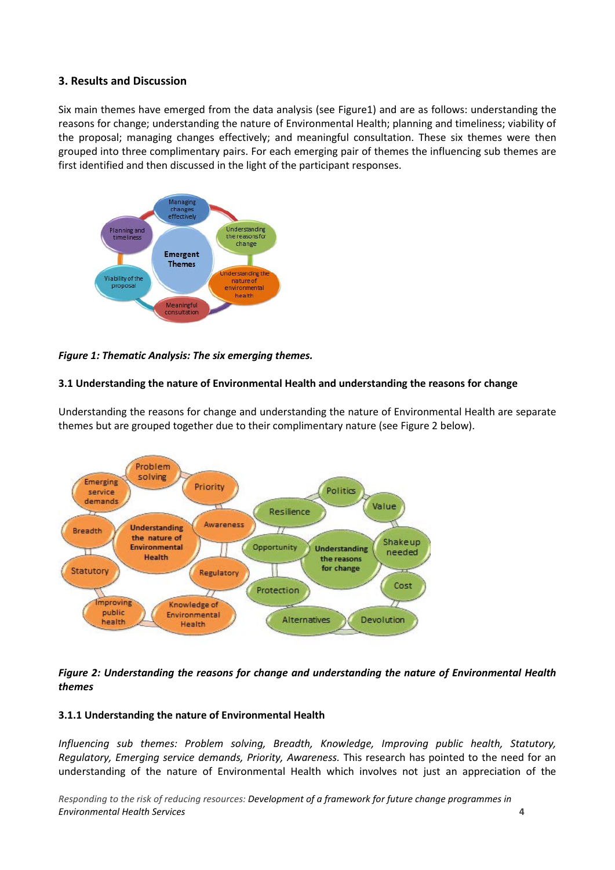#### **3. Results and Discussion**

Six main themes have emerged from the data analysis (see Figure1) and are as follows: understanding the reasons for change; understanding the nature of Environmental Health; planning and timeliness; viability of the proposal; managing changes effectively; and meaningful consultation. These six themes were then grouped into three complimentary pairs. For each emerging pair of themes the influencing sub themes are first identified and then discussed in the light of the participant responses.



*Figure 1: Thematic Analysis: The six emerging themes.*

#### **3.1 Understanding the nature of Environmental Health and understanding the reasons for change**

Understanding the reasons for change and understanding the nature of Environmental Health are separate themes but are grouped together due to their complimentary nature (see Figure 2 below).



#### *Figure 2: Understanding the reasons for change and understanding the nature of Environmental Health themes*

#### **3.1.1 Understanding the nature of Environmental Health**

*Influencing sub themes: Problem solving, Breadth, Knowledge, Improving public health, Statutory, Regulatory, Emerging service demands, Priority, Awareness.* This research has pointed to the need for an understanding of the nature of Environmental Health which involves not just an appreciation of the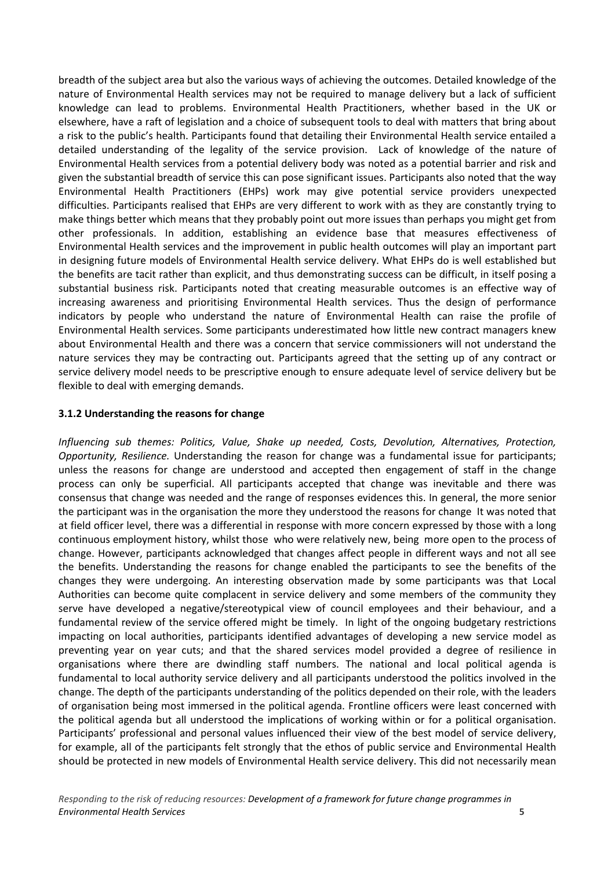breadth of the subject area but also the various ways of achieving the outcomes. Detailed knowledge of the nature of Environmental Health services may not be required to manage delivery but a lack of sufficient knowledge can lead to problems. Environmental Health Practitioners, whether based in the UK or elsewhere, have a raft of legislation and a choice of subsequent tools to deal with matters that bring about a risk to the public's health. Participants found that detailing their Environmental Health service entailed a detailed understanding of the legality of the service provision. Lack of knowledge of the nature of Environmental Health services from a potential delivery body was noted as a potential barrier and risk and given the substantial breadth of service this can pose significant issues. Participants also noted that the way Environmental Health Practitioners (EHPs) work may give potential service providers unexpected difficulties. Participants realised that EHPs are very different to work with as they are constantly trying to make things better which means that they probably point out more issues than perhaps you might get from other professionals. In addition, establishing an evidence base that measures effectiveness of Environmental Health services and the improvement in public health outcomes will play an important part in designing future models of Environmental Health service delivery. What EHPs do is well established but the benefits are tacit rather than explicit, and thus demonstrating success can be difficult, in itself posing a substantial business risk. Participants noted that creating measurable outcomes is an effective way of increasing awareness and prioritising Environmental Health services. Thus the design of performance indicators by people who understand the nature of Environmental Health can raise the profile of Environmental Health services. Some participants underestimated how little new contract managers knew about Environmental Health and there was a concern that service commissioners will not understand the nature services they may be contracting out. Participants agreed that the setting up of any contract or service delivery model needs to be prescriptive enough to ensure adequate level of service delivery but be flexible to deal with emerging demands.

#### **3.1.2 Understanding the reasons for change**

*Influencing sub themes: Politics, Value, Shake up needed, Costs, Devolution, Alternatives, Protection, Opportunity, Resilience.* Understanding the reason for change was a fundamental issue for participants; unless the reasons for change are understood and accepted then engagement of staff in the change process can only be superficial. All participants accepted that change was inevitable and there was consensus that change was needed and the range of responses evidences this. In general, the more senior the participant was in the organisation the more they understood the reasons for change It was noted that at field officer level, there was a differential in response with more concern expressed by those with a long continuous employment history, whilst those who were relatively new, being more open to the process of change. However, participants acknowledged that changes affect people in different ways and not all see the benefits. Understanding the reasons for change enabled the participants to see the benefits of the changes they were undergoing. An interesting observation made by some participants was that Local Authorities can become quite complacent in service delivery and some members of the community they serve have developed a negative/stereotypical view of council employees and their behaviour, and a fundamental review of the service offered might be timely. In light of the ongoing budgetary restrictions impacting on local authorities, participants identified advantages of developing a new service model as preventing year on year cuts; and that the shared services model provided a degree of resilience in organisations where there are dwindling staff numbers. The national and local political agenda is fundamental to local authority service delivery and all participants understood the politics involved in the change. The depth of the participants understanding of the politics depended on their role, with the leaders of organisation being most immersed in the political agenda. Frontline officers were least concerned with the political agenda but all understood the implications of working within or for a political organisation. Participants' professional and personal values influenced their view of the best model of service delivery, for example, all of the participants felt strongly that the ethos of public service and Environmental Health should be protected in new models of Environmental Health service delivery. This did not necessarily mean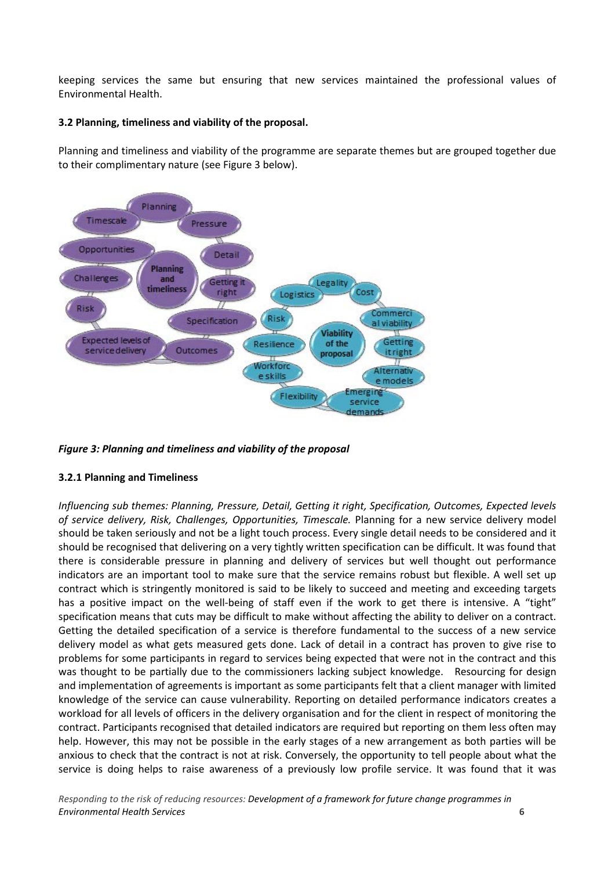keeping services the same but ensuring that new services maintained the professional values of Environmental Health.

#### **3.2 Planning, timeliness and viability of the proposal.**

Planning and timeliness and viability of the programme are separate themes but are grouped together due to their complimentary nature (see Figure 3 below).



*Figure 3: Planning and timeliness and viability of the proposal* 

#### **3.2.1 Planning and Timeliness**

*Influencing sub themes: Planning, Pressure, Detail, Getting it right, Specification, Outcomes, Expected levels of service delivery, Risk, Challenges, Opportunities, Timescale.* Planning for a new service delivery model should be taken seriously and not be a light touch process. Every single detail needs to be considered and it should be recognised that delivering on a very tightly written specification can be difficult. It was found that there is considerable pressure in planning and delivery of services but well thought out performance indicators are an important tool to make sure that the service remains robust but flexible. A well set up contract which is stringently monitored is said to be likely to succeed and meeting and exceeding targets has a positive impact on the well-being of staff even if the work to get there is intensive. A "tight" specification means that cuts may be difficult to make without affecting the ability to deliver on a contract. Getting the detailed specification of a service is therefore fundamental to the success of a new service delivery model as what gets measured gets done. Lack of detail in a contract has proven to give rise to problems for some participants in regard to services being expected that were not in the contract and this was thought to be partially due to the commissioners lacking subject knowledge. Resourcing for design and implementation of agreements is important as some participants felt that a client manager with limited knowledge of the service can cause vulnerability. Reporting on detailed performance indicators creates a workload for all levels of officers in the delivery organisation and for the client in respect of monitoring the contract. Participants recognised that detailed indicators are required but reporting on them less often may help. However, this may not be possible in the early stages of a new arrangement as both parties will be anxious to check that the contract is not at risk. Conversely, the opportunity to tell people about what the service is doing helps to raise awareness of a previously low profile service. It was found that it was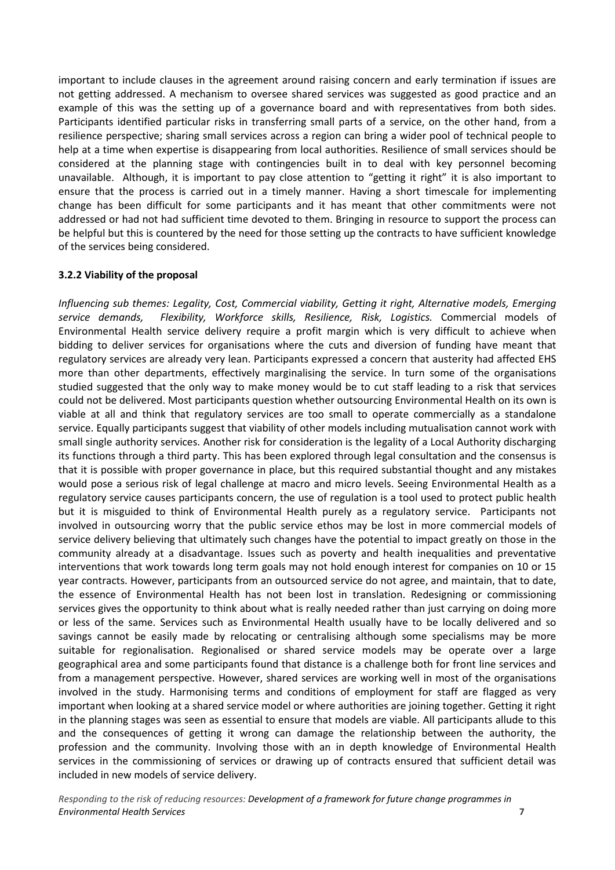important to include clauses in the agreement around raising concern and early termination if issues are not getting addressed. A mechanism to oversee shared services was suggested as good practice and an example of this was the setting up of a governance board and with representatives from both sides. Participants identified particular risks in transferring small parts of a service, on the other hand, from a resilience perspective; sharing small services across a region can bring a wider pool of technical people to help at a time when expertise is disappearing from local authorities. Resilience of small services should be considered at the planning stage with contingencies built in to deal with key personnel becoming unavailable. Although, it is important to pay close attention to "getting it right" it is also important to ensure that the process is carried out in a timely manner. Having a short timescale for implementing change has been difficult for some participants and it has meant that other commitments were not addressed or had not had sufficient time devoted to them. Bringing in resource to support the process can be helpful but this is countered by the need for those setting up the contracts to have sufficient knowledge of the services being considered.

#### **3.2.2 Viability of the proposal**

*Influencing sub themes: Legality, Cost, Commercial viability, Getting it right, Alternative models, Emerging service demands, Flexibility, Workforce skills, Resilience, Risk, Logistics.* Commercial models of Environmental Health service delivery require a profit margin which is very difficult to achieve when bidding to deliver services for organisations where the cuts and diversion of funding have meant that regulatory services are already very lean. Participants expressed a concern that austerity had affected EHS more than other departments, effectively marginalising the service. In turn some of the organisations studied suggested that the only way to make money would be to cut staff leading to a risk that services could not be delivered. Most participants question whether outsourcing Environmental Health on its own is viable at all and think that regulatory services are too small to operate commercially as a standalone service. Equally participants suggest that viability of other models including mutualisation cannot work with small single authority services. Another risk for consideration is the legality of a Local Authority discharging its functions through a third party. This has been explored through legal consultation and the consensus is that it is possible with proper governance in place, but this required substantial thought and any mistakes would pose a serious risk of legal challenge at macro and micro levels. Seeing Environmental Health as a regulatory service causes participants concern, the use of regulation is a tool used to protect public health but it is misguided to think of Environmental Health purely as a regulatory service. Participants not involved in outsourcing worry that the public service ethos may be lost in more commercial models of service delivery believing that ultimately such changes have the potential to impact greatly on those in the community already at a disadvantage. Issues such as poverty and health inequalities and preventative interventions that work towards long term goals may not hold enough interest for companies on 10 or 15 year contracts. However, participants from an outsourced service do not agree, and maintain, that to date, the essence of Environmental Health has not been lost in translation. Redesigning or commissioning services gives the opportunity to think about what is really needed rather than just carrying on doing more or less of the same. Services such as Environmental Health usually have to be locally delivered and so savings cannot be easily made by relocating or centralising although some specialisms may be more suitable for regionalisation. Regionalised or shared service models may be operate over a large geographical area and some participants found that distance is a challenge both for front line services and from a management perspective. However, shared services are working well in most of the organisations involved in the study. Harmonising terms and conditions of employment for staff are flagged as very important when looking at a shared service model or where authorities are joining together. Getting it right in the planning stages was seen as essential to ensure that models are viable. All participants allude to this and the consequences of getting it wrong can damage the relationship between the authority, the profession and the community. Involving those with an in depth knowledge of Environmental Health services in the commissioning of services or drawing up of contracts ensured that sufficient detail was included in new models of service delivery.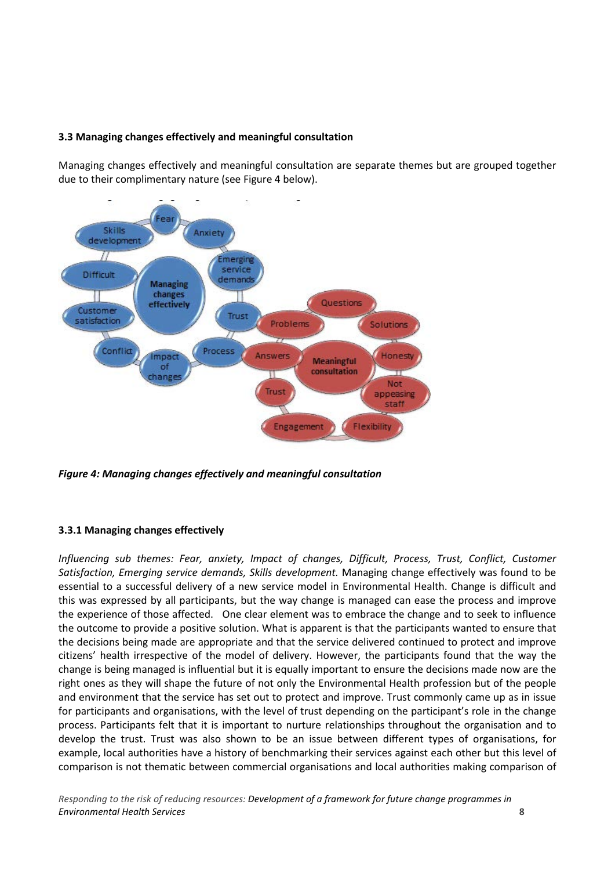#### **3.3 Managing changes effectively and meaningful consultation**

Managing changes effectively and meaningful consultation are separate themes but are grouped together due to their complimentary nature (see Figure 4 below).



*Figure 4: Managing changes effectively and meaningful consultation*

#### **3.3.1 Managing changes effectively**

*Influencing sub themes: Fear, anxiety, Impact of changes, Difficult, Process, Trust, Conflict, Customer Satisfaction, Emerging service demands, Skills development.* Managing change effectively was found to be essential to a successful delivery of a new service model in Environmental Health. Change is difficult and this was expressed by all participants, but the way change is managed can ease the process and improve the experience of those affected. One clear element was to embrace the change and to seek to influence the outcome to provide a positive solution. What is apparent is that the participants wanted to ensure that the decisions being made are appropriate and that the service delivered continued to protect and improve citizens' health irrespective of the model of delivery. However, the participants found that the way the change is being managed is influential but it is equally important to ensure the decisions made now are the right ones as they will shape the future of not only the Environmental Health profession but of the people and environment that the service has set out to protect and improve. Trust commonly came up as in issue for participants and organisations, with the level of trust depending on the participant's role in the change process. Participants felt that it is important to nurture relationships throughout the organisation and to develop the trust. Trust was also shown to be an issue between different types of organisations, for example, local authorities have a history of benchmarking their services against each other but this level of comparison is not thematic between commercial organisations and local authorities making comparison of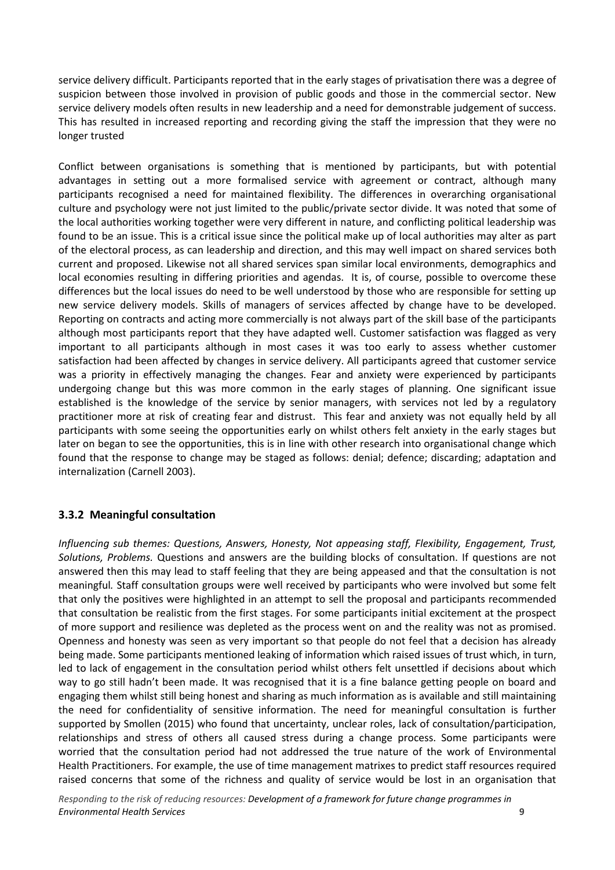service delivery difficult. Participants reported that in the early stages of privatisation there was a degree of suspicion between those involved in provision of public goods and those in the commercial sector. New service delivery models often results in new leadership and a need for demonstrable judgement of success. This has resulted in increased reporting and recording giving the staff the impression that they were no longer trusted

Conflict between organisations is something that is mentioned by participants, but with potential advantages in setting out a more formalised service with agreement or contract, although many participants recognised a need for maintained flexibility. The differences in overarching organisational culture and psychology were not just limited to the public/private sector divide. It was noted that some of the local authorities working together were very different in nature, and conflicting political leadership was found to be an issue. This is a critical issue since the political make up of local authorities may alter as part of the electoral process, as can leadership and direction, and this may well impact on shared services both current and proposed. Likewise not all shared services span similar local environments, demographics and local economies resulting in differing priorities and agendas. It is, of course, possible to overcome these differences but the local issues do need to be well understood by those who are responsible for setting up new service delivery models. Skills of managers of services affected by change have to be developed. Reporting on contracts and acting more commercially is not always part of the skill base of the participants although most participants report that they have adapted well. Customer satisfaction was flagged as very important to all participants although in most cases it was too early to assess whether customer satisfaction had been affected by changes in service delivery. All participants agreed that customer service was a priority in effectively managing the changes. Fear and anxiety were experienced by participants undergoing change but this was more common in the early stages of planning. One significant issue established is the knowledge of the service by senior managers, with services not led by a regulatory practitioner more at risk of creating fear and distrust. This fear and anxiety was not equally held by all participants with some seeing the opportunities early on whilst others felt anxiety in the early stages but later on began to see the opportunities, this is in line with other research into organisational change which found that the response to change may be staged as follows: denial; defence; discarding; adaptation and internalization (Carnell 2003).

## **3.3.2 Meaningful consultation**

*Influencing sub themes: Questions, Answers, Honesty, Not appeasing staff, Flexibility, Engagement, Trust, Solutions, Problems.* Questions and answers are the building blocks of consultation. If questions are not answered then this may lead to staff feeling that they are being appeased and that the consultation is not meaningful*.* Staff consultation groups were well received by participants who were involved but some felt that only the positives were highlighted in an attempt to sell the proposal and participants recommended that consultation be realistic from the first stages. For some participants initial excitement at the prospect of more support and resilience was depleted as the process went on and the reality was not as promised. Openness and honesty was seen as very important so that people do not feel that a decision has already being made. Some participants mentioned leaking of information which raised issues of trust which, in turn, led to lack of engagement in the consultation period whilst others felt unsettled if decisions about which way to go still hadn't been made. It was recognised that it is a fine balance getting people on board and engaging them whilst still being honest and sharing as much information as is available and still maintaining the need for confidentiality of sensitive information. The need for meaningful consultation is further supported by Smollen (2015) who found that uncertainty, unclear roles, lack of consultation/participation, relationships and stress of others all caused stress during a change process. Some participants were worried that the consultation period had not addressed the true nature of the work of Environmental Health Practitioners. For example, the use of time management matrixes to predict staff resources required raised concerns that some of the richness and quality of service would be lost in an organisation that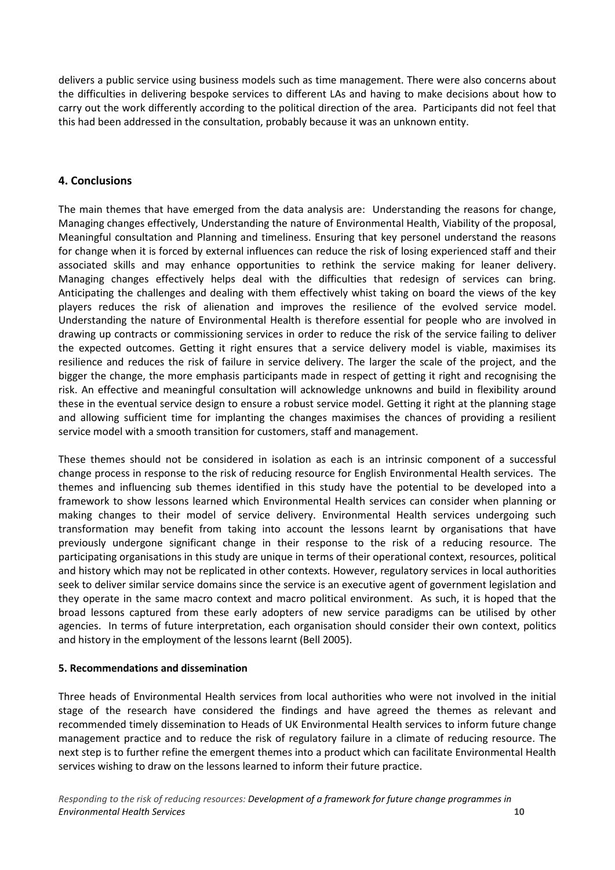delivers a public service using business models such as time management. There were also concerns about the difficulties in delivering bespoke services to different LAs and having to make decisions about how to carry out the work differently according to the political direction of the area. Participants did not feel that this had been addressed in the consultation, probably because it was an unknown entity.

#### **4. Conclusions**

The main themes that have emerged from the data analysis are: Understanding the reasons for change, Managing changes effectively, Understanding the nature of Environmental Health, Viability of the proposal, Meaningful consultation and Planning and timeliness. Ensuring that key personel understand the reasons for change when it is forced by external influences can reduce the risk of losing experienced staff and their associated skills and may enhance opportunities to rethink the service making for leaner delivery. Managing changes effectively helps deal with the difficulties that redesign of services can bring. Anticipating the challenges and dealing with them effectively whist taking on board the views of the key players reduces the risk of alienation and improves the resilience of the evolved service model. Understanding the nature of Environmental Health is therefore essential for people who are involved in drawing up contracts or commissioning services in order to reduce the risk of the service failing to deliver the expected outcomes. Getting it right ensures that a service delivery model is viable, maximises its resilience and reduces the risk of failure in service delivery. The larger the scale of the project, and the bigger the change, the more emphasis participants made in respect of getting it right and recognising the risk. An effective and meaningful consultation will acknowledge unknowns and build in flexibility around these in the eventual service design to ensure a robust service model. Getting it right at the planning stage and allowing sufficient time for implanting the changes maximises the chances of providing a resilient service model with a smooth transition for customers, staff and management.

These themes should not be considered in isolation as each is an intrinsic component of a successful change process in response to the risk of reducing resource for English Environmental Health services. The themes and influencing sub themes identified in this study have the potential to be developed into a framework to show lessons learned which Environmental Health services can consider when planning or making changes to their model of service delivery. Environmental Health services undergoing such transformation may benefit from taking into account the lessons learnt by organisations that have previously undergone significant change in their response to the risk of a reducing resource. The participating organisations in this study are unique in terms of their operational context, resources, political and history which may not be replicated in other contexts. However, regulatory services in local authorities seek to deliver similar service domains since the service is an executive agent of government legislation and they operate in the same macro context and macro political environment. As such, it is hoped that the broad lessons captured from these early adopters of new service paradigms can be utilised by other agencies. In terms of future interpretation, each organisation should consider their own context, politics and history in the employment of the lessons learnt (Bell 2005).

#### **5. Recommendations and dissemination**

Three heads of Environmental Health services from local authorities who were not involved in the initial stage of the research have considered the findings and have agreed the themes as relevant and recommended timely dissemination to Heads of UK Environmental Health services to inform future change management practice and to reduce the risk of regulatory failure in a climate of reducing resource. The next step is to further refine the emergent themes into a product which can facilitate Environmental Health services wishing to draw on the lessons learned to inform their future practice.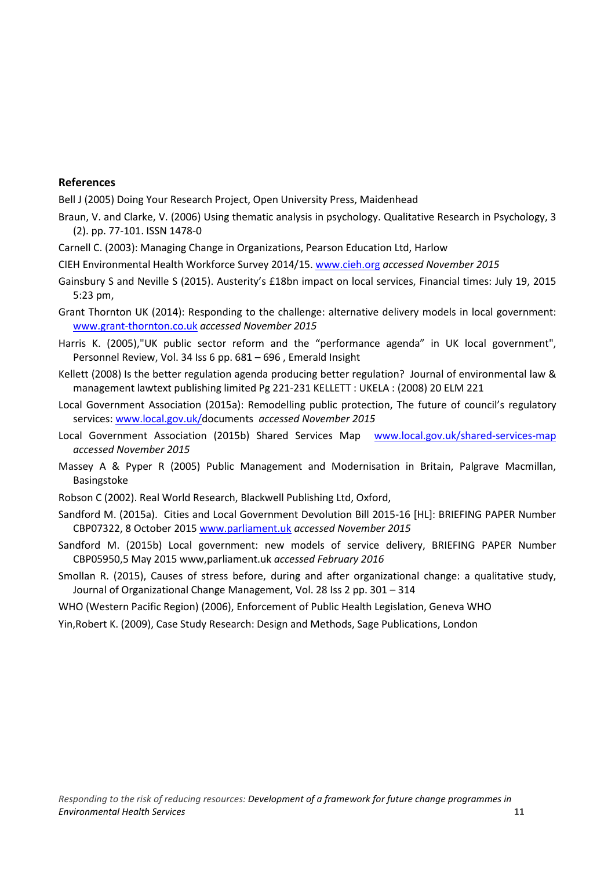#### **References**

Bell J (2005) Doing Your Research Project, Open University Press, Maidenhead

- Braun, V. and Clarke, V. (2006) Using thematic analysis in psychology. Qualitative Research in Psychology, 3 (2). pp. 77-101. ISSN 1478-0
- Carnell C. (2003): Managing Change in Organizations, Pearson Education Ltd, Harlow
- CIEH Environmental Health Workforce Survey 2014/15. [www.cieh.org](http://www.cieh.org/) *accessed November 2015*
- Gainsbury S and Neville S (2015). Austerity's £18bn impact on local services, Financial times: July 19, 2015 5:23 pm,
- Grant Thornton UK (2014): Responding to the challenge: alternative delivery models in local government: [www.grant-thornton.co.uk](http://www.grant-thornton.co.uk/) *accessed November 2015*
- Harris K. (2005),"UK public sector reform and the "performance agenda" in UK local government", Personnel Review, Vol. 34 Iss 6 pp. 681 – 696 , Emerald Insight
- Kellett (2008) Is the better regulation agenda producing better regulation? Journal of environmental law & management lawtext publishing limited Pg 221-231 KELLETT : UKELA : (2008) 20 ELM 221
- Local Government Association (2015a): Remodelling public protection, The future of council's regulatory services: [www.local.gov.uk/d](http://www.local.gov.uk/shared-services-map)ocuments *accessed November 2015*
- Local Government Association (2015b) Shared Services Map [www.local.gov.uk/shared-services-map](http://www.local.gov.uk/shared-services-map) *accessed November 2015*
- Massey A & Pyper R (2005) Public Management and Modernisation in Britain, Palgrave Macmillan, Basingstoke
- Robson C (2002). Real World Research, Blackwell Publishing Ltd, Oxford,
- Sandford M. (2015a). Cities and Local Government Devolution Bill 2015-16 [HL]: BRIEFING PAPER Number CBP07322, 8 October 2015 [www.parliament.uk](http://www.parliament.uk/) *accessed November 2015*
- Sandford M. (2015b) Local government: new models of service delivery, BRIEFING PAPER Number CBP05950,5 May 2015 www,parliament.uk *accessed February 2016*
- Smollan R. (2015), Causes of stress before, during and after organizational change: a qualitative study, Journal of Organizational Change Management, Vol. 28 Iss 2 pp. 301 – 314
- WHO (Western Pacific Region) (2006), Enforcement of Public Health Legislation, Geneva WHO
- Yin,Robert K. (2009), Case Study Research: Design and Methods, Sage Publications, London